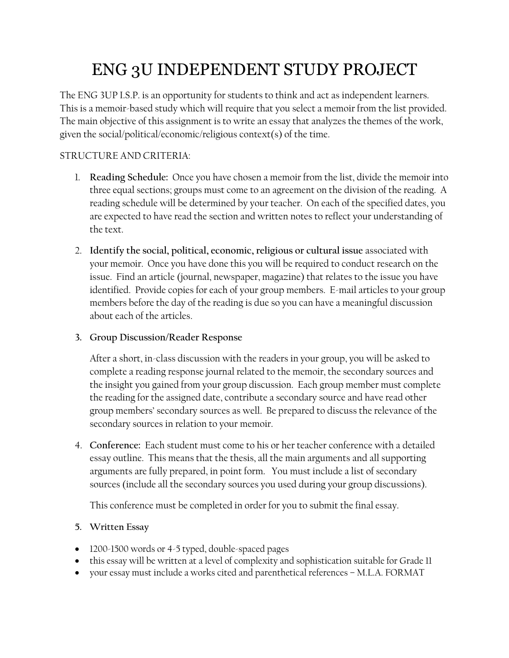# ENG 3U INDEPENDENT STUDY PROJECT

The ENG 3UP I.S.P. is an opportunity for students to think and act as independent learners. This is a memoir-based study which will require that you select a memoir from the list provided. The main objective of this assignment is to write an essay that analyzes the themes of the work, given the social/political/economic/religious context(s) of the time.

# STRUCTURE AND CRITERIA:

- 1. **Reading Schedule:** Once you have chosen a memoir from the list, divide the memoir into three equal sections; groups must come to an agreement on the division of the reading. A reading schedule will be determined by your teacher. On each of the specified dates, you are expected to have read the section and written notes to reflect your understanding of the text.
- 2. **Identify the social, political, economic, religious or cultural issue** associated with your memoir. Once you have done this you will be required to conduct research on the issue. Find an article (journal, newspaper, magazine) that relates to the issue you have identified. Provide copies for each of your group members. E-mail articles to your group members before the day of the reading is due so you can have a meaningful discussion about each of the articles.

## **3. Group Discussion/Reader Response**

After a short, in-class discussion with the readers in your group, you will be asked to complete a reading response journal related to the memoir, the secondary sources and the insight you gained from your group discussion. Each group member must complete the reading for the assigned date, contribute a secondary source and have read other group members' secondary sources as well. Be prepared to discuss the relevance of the secondary sources in relation to your memoir.

4. **Conference:** Each student must come to his or her teacher conference with a detailed essay outline. This means that the thesis, all the main arguments and all supporting arguments are fully prepared, in point form. You must include a list of secondary sources (include all the secondary sources you used during your group discussions).

This conference must be completed in order for you to submit the final essay.

## **5. Written Essay**

- 1200-1500 words or 4-5 typed, double-spaced pages
- this essay will be written at a level of complexity and sophistication suitable for Grade 11
- your essay must include a works cited and parenthetical references M.L.A. FORMAT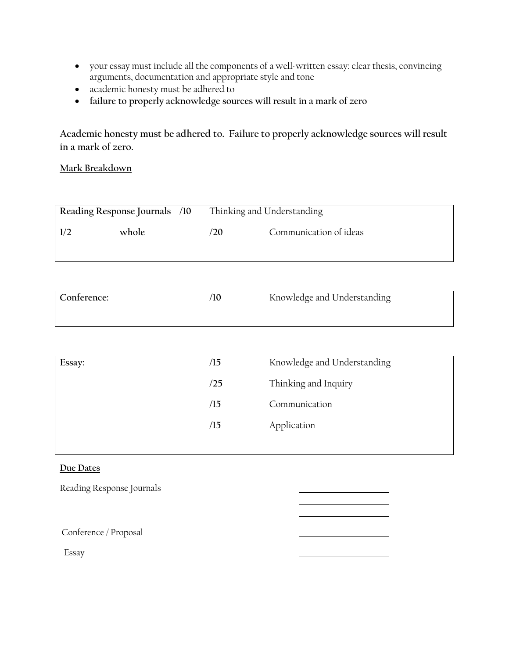- your essay must include all the components of a well-written essay: clear thesis, convincing arguments, documentation and appropriate style and tone
- academic honesty must be adhered to
- **failure to properly acknowledge sources will result in a mark of zero**

**Academic honesty must be adhered to. Failure to properly acknowledge sources will result in a mark of zero.**

### **Mark Breakdown**

| Reading Response Journals /10 |       | Thinking and Understanding |                        |
|-------------------------------|-------|----------------------------|------------------------|
| 1/2                           | whole | /20                        | Communication of ideas |
|                               |       |                            |                        |

| Conference: | '10 | Knowledge and Understanding |
|-------------|-----|-----------------------------|
|             |     |                             |

| Essay: | /15 | Knowledge and Understanding |
|--------|-----|-----------------------------|
|        | /25 | Thinking and Inquiry        |
|        | /15 | Communication               |
|        | /15 | Application                 |
|        |     |                             |

#### **Due Dates**

Reading Response Journals

Conference / Proposal

Essay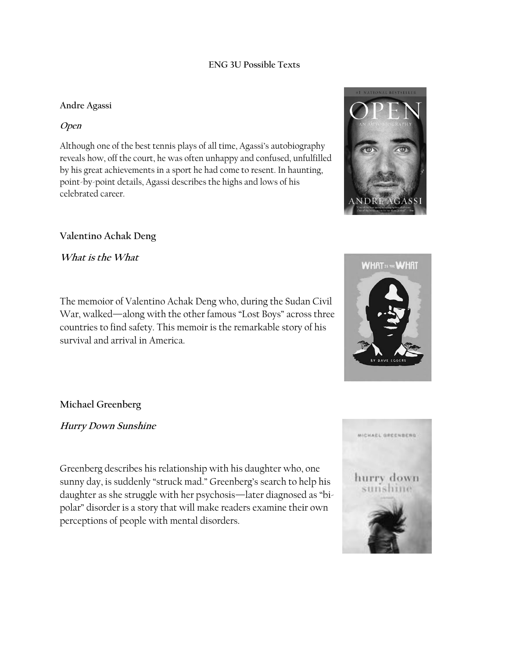#### **ENG 3U Possible Texts**

#### **Andre Agassi**

#### **Open**

Although one of the best tennis plays of all time, Agassi's autobiography reveals how, off the court, he was often unhappy and confused, unfulfilled by his great achievements in a sport he had come to resent. In haunting, point-by-point details, Agassi describes the highs and lows of his celebrated career.

## **Valentino Achak Deng**

**What is the What**

The memoior of Valentino Achak Deng who, during the Sudan Civil War, walked—along with the other famous "Lost Boys" across three countries to find safety. This memoir is the remarkable story of his survival and arrival in America.

**Michael Greenberg**

**Hurry Down Sunshine**

Greenberg describes his relationship with his daughter who, one sunny day, is suddenly "struck mad." Greenberg's search to help his daughter as she struggle with her psychosis—later diagnosed as "bipolar" disorder is a story that will make readers examine their own perceptions of people with mental disorders.